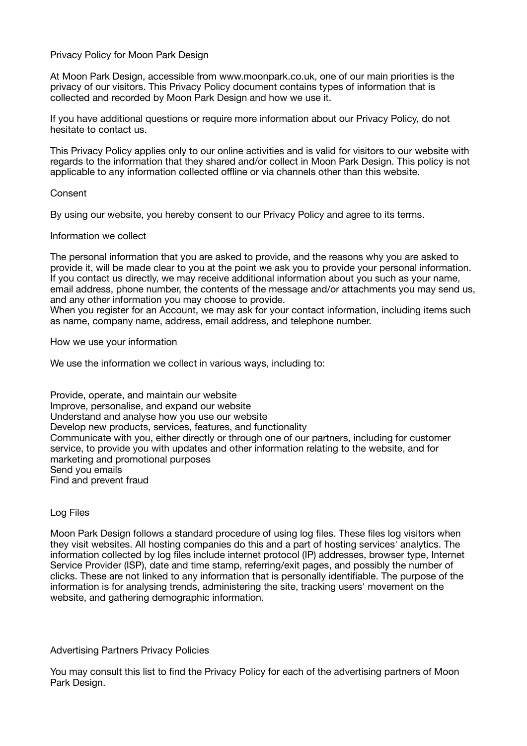### Privacy Policy for Moon Park Design

At Moon Park Design, accessible from www.moonpark.co.uk, one of our main priorities is the privacy of our visitors. This Privacy Policy document contains types of information that is collected and recorded by Moon Park Design and how we use it.

If you have additional questions or require more information about our Privacy Policy, do not hesitate to contact us.

This Privacy Policy applies only to our online activities and is valid for visitors to our website with regards to the information that they shared and/or collect in Moon Park Design. This policy is not applicable to any information collected offline or via channels other than this website.

#### **Consent**

By using our website, you hereby consent to our Privacy Policy and agree to its terms.

### Information we collect

The personal information that you are asked to provide, and the reasons why you are asked to provide it, will be made clear to you at the point we ask you to provide your personal information. If you contact us directly, we may receive additional information about you such as your name, email address, phone number, the contents of the message and/or attachments you may send us, and any other information you may choose to provide.

When you register for an Account, we may ask for your contact information, including items such as name, company name, address, email address, and telephone number.

How we use your information

We use the information we collect in various ways, including to:

Provide, operate, and maintain our website Improve, personalise, and expand our website Understand and analyse how you use our website Develop new products, services, features, and functionality Communicate with you, either directly or through one of our partners, including for customer service, to provide you with updates and other information relating to the website, and for marketing and promotional purposes Send you emails Find and prevent fraud

# Log Files

Moon Park Design follows a standard procedure of using log files. These files log visitors when they visit websites. All hosting companies do this and a part of hosting services' analytics. The information collected by log files include internet protocol (IP) addresses, browser type, Internet Service Provider (ISP), date and time stamp, referring/exit pages, and possibly the number of clicks. These are not linked to any information that is personally identifiable. The purpose of the information is for analysing trends, administering the site, tracking users' movement on the website, and gathering demographic information.

#### Advertising Partners Privacy Policies

You may consult this list to find the Privacy Policy for each of the advertising partners of Moon Park Design.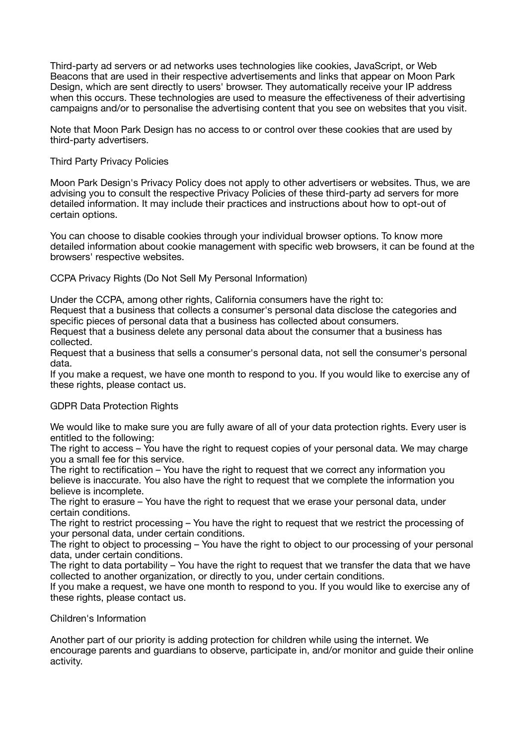Third-party ad servers or ad networks uses technologies like cookies, JavaScript, or Web Beacons that are used in their respective advertisements and links that appear on Moon Park Design, which are sent directly to users' browser. They automatically receive your IP address when this occurs. These technologies are used to measure the effectiveness of their advertising campaigns and/or to personalise the advertising content that you see on websites that you visit.

Note that Moon Park Design has no access to or control over these cookies that are used by third-party advertisers.

## Third Party Privacy Policies

Moon Park Design's Privacy Policy does not apply to other advertisers or websites. Thus, we are advising you to consult the respective Privacy Policies of these third-party ad servers for more detailed information. It may include their practices and instructions about how to opt-out of certain options.

You can choose to disable cookies through your individual browser options. To know more detailed information about cookie management with specific web browsers, it can be found at the browsers' respective websites.

CCPA Privacy Rights (Do Not Sell My Personal Information)

Under the CCPA, among other rights, California consumers have the right to:

Request that a business that collects a consumer's personal data disclose the categories and specific pieces of personal data that a business has collected about consumers.

Request that a business delete any personal data about the consumer that a business has collected.

Request that a business that sells a consumer's personal data, not sell the consumer's personal data.

If you make a request, we have one month to respond to you. If you would like to exercise any of these rights, please contact us.

# GDPR Data Protection Rights

We would like to make sure you are fully aware of all of your data protection rights. Every user is entitled to the following:

The right to access – You have the right to request copies of your personal data. We may charge you a small fee for this service.

The right to rectification – You have the right to request that we correct any information you believe is inaccurate. You also have the right to request that we complete the information you believe is incomplete.

The right to erasure – You have the right to request that we erase your personal data, under certain conditions.

The right to restrict processing – You have the right to request that we restrict the processing of your personal data, under certain conditions.

The right to object to processing – You have the right to object to our processing of your personal data, under certain conditions.

The right to data portability – You have the right to request that we transfer the data that we have collected to another organization, or directly to you, under certain conditions.

If you make a request, we have one month to respond to you. If you would like to exercise any of these rights, please contact us.

Children's Information

Another part of our priority is adding protection for children while using the internet. We encourage parents and guardians to observe, participate in, and/or monitor and guide their online activity.